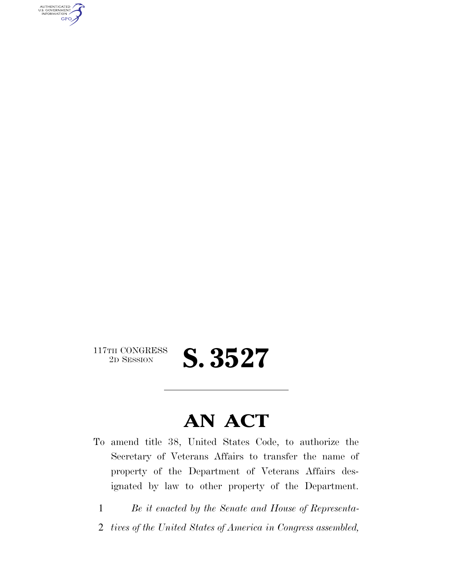AUTHENTICATED<br>U.S. GOVERNMENT<br>INFORMATION GPO

## $\begin{array}{c} \text{117TH CONGRESS} \\ \text{2D Session} \end{array}$

## 2D SESSION **S. 3527**

## **AN ACT**

- To amend title 38, United States Code, to authorize the Secretary of Veterans Affairs to transfer the name of property of the Department of Veterans Affairs designated by law to other property of the Department.
	- 1 *Be it enacted by the Senate and House of Representa-*
	- 2 *tives of the United States of America in Congress assembled,*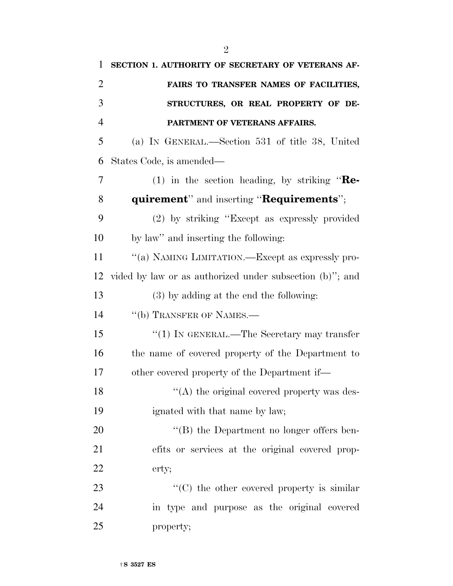| 1              | SECTION 1. AUTHORITY OF SECRETARY OF VETERANS AF-         |
|----------------|-----------------------------------------------------------|
| $\overline{2}$ | FAIRS TO TRANSFER NAMES OF FACILITIES,                    |
| 3              | STRUCTURES, OR REAL PROPERTY OF DE-                       |
| $\overline{4}$ | PARTMENT OF VETERANS AFFAIRS.                             |
| 5              | (a) IN GENERAL.—Section 531 of title 38, United           |
| 6              | States Code, is amended—                                  |
| 7              | (1) in the section heading, by striking " $\mathbf{Re}$ - |
| 8              | <b>quirement</b> " and inserting " <b>Requirements</b> "; |
| 9              | (2) by striking "Except as expressly provided             |
| 10             | by law" and inserting the following:                      |
| 11             | "(a) NAMING LIMITATION.—Except as expressly pro-          |
| 12             | vided by law or as authorized under subsection (b)"; and  |
| 13             | $(3)$ by adding at the end the following:                 |
| 14             | "(b) TRANSFER OF NAMES.—                                  |
| 15             | "(1) IN GENERAL.—The Secretary may transfer               |
| 16             | the name of covered property of the Department to         |
| 17             | other covered property of the Department if—              |
| 18             | "(A) the original covered property was des-               |
| 19             | ignated with that name by law;                            |
| 20             | $\lq\lq$ the Department no longer offers ben-             |
| 21             | efits or services at the original covered prop-           |
| 22             | erty;                                                     |
| 23             | "(C) the other covered property is similar                |
| 24             | in type and purpose as the original covered               |
| 25             | property;                                                 |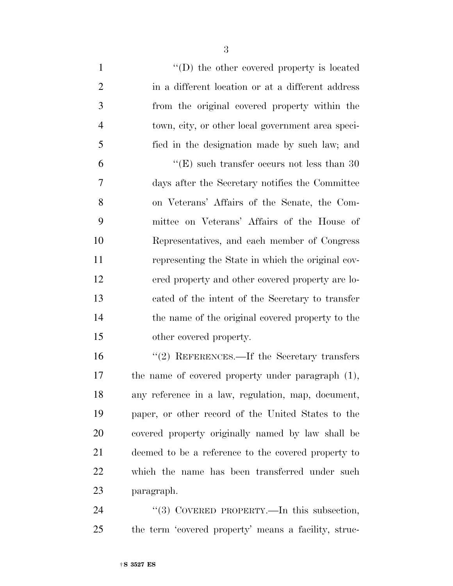$\langle (D) \rangle$  the other covered property is located 2 in a different location or at a different address from the original covered property within the town, city, or other local government area speci- fied in the designation made by such law; and  $^4$ (E) such transfer occurs not less than 30 days after the Secretary notifies the Committee on Veterans' Affairs of the Senate, the Com- mittee on Veterans' Affairs of the House of Representatives, and each member of Congress representing the State in which the original cov- ered property and other covered property are lo- cated of the intent of the Secretary to transfer the name of the original covered property to the other covered property.

16 "(2) REFERENCES.—If the Secretary transfers the name of covered property under paragraph (1), any reference in a law, regulation, map, document, paper, or other record of the United States to the covered property originally named by law shall be deemed to be a reference to the covered property to which the name has been transferred under such paragraph.

24 "(3) COVERED PROPERTY.—In this subsection, the term 'covered property' means a facility, struc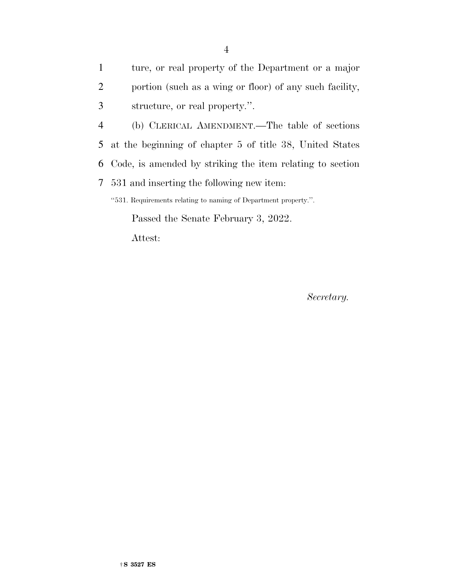ture, or real property of the Department or a major portion (such as a wing or floor) of any such facility, structure, or real property.''.

 (b) CLERICAL AMENDMENT.—The table of sections at the beginning of chapter 5 of title 38, United States Code, is amended by striking the item relating to section 531 and inserting the following new item: ''531. Requirements relating to naming of Department property.''.

Passed the Senate February 3, 2022.

Attest:

*Secretary.*